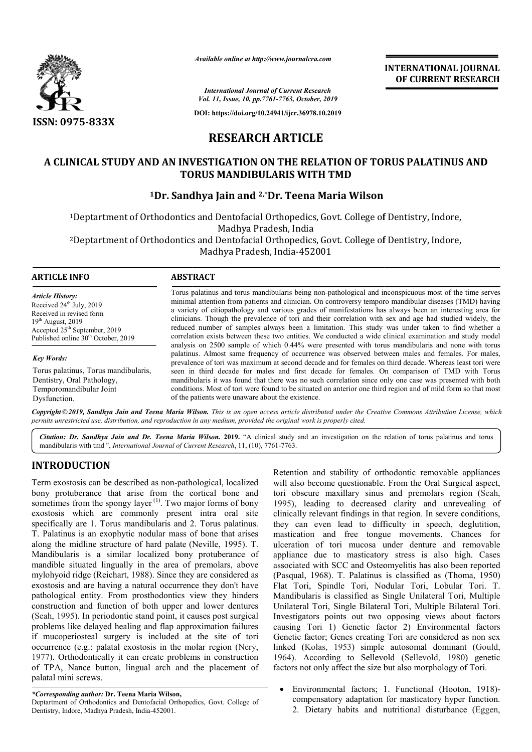

*Available online at http://www.journalcra.com*

**INTERNATIONAL JOURNAL OF CURRENT RESEARCH**

*International Journal of Current Research Vol. 11, Issue, 10, pp.7761-7763, October, 2019*

**DOI: https://doi.org/10.24941/ijcr.36978.10.2019**

# **RESEARCH ARTICLE**

# A CLINICAL STUDY AND AN INVESTIGATION ON THE RELATION OF TORUS PALATINUS AND **TORUS MANDIBULARIS WITH TMD**

# **1Dr. Sandhya Jain and 2,\*Dr. Teena Maria Wilson**

<sup>1</sup>Deptartment of Orthodontics and Dentofacial Orthopedics, Govt. College of Dentistry, Indore, 2Deptartment of Orthodontics and Dentofacial Orthopedics, Govt. College of Dentistry, Indore, Madhya Pradesh, India

Madhya Pradesh, India-452001

#### **ARTICLE INFO ABSTRACT**

*Article History:* Received 24<sup>th</sup> July, 2019 Received in revised form 19<sup>th</sup> August, 2019 Accepted 25<sup>th</sup> September, 2019 Published online 30<sup>th</sup> October, 2019

#### *Key Words:*

Torus palatinus, Torus mandibularis, Dentistry, Oral Pathology, Temporomandibular Joint Dysfunction.

Torus palatinus and torus mandibularis being non-pathological and inconspicuous most of the time serves minimal attention from patients and clinician. On controversy temporo mandibular diseases (TMD) having a variety of eitiopathology and various grades of manifestations has always been an interesting area for clinicians. Though the prevalence of tori and their correlation with sex and age had studied widely, the reduced number of samples always been a limitation. This study was under taken to find whether a correlation exists between these two entities. We conducted a wide clinical examination and study model analysis on 2500 sample of which 0.44% were presented with torus mandibularis and none with torus palatinus. Almost same frequency of occurrence was observed between males and females. For prevalence of tori was maximum at second decade and for females on third decade. Whereas least tori were seen in third decade for males and first decade for females. On comparison of TMD with Torus mandibularis it was found that there was no such correlation since only one case was presented with both conditions. Most of tori were found to be situated on anterior one third region and of mild form so that most of the patients were unaware about the existence. Torus palatinus and torus mandibularis being non-pathological and inconspicuous most of the time serves<br>minimal attention from patients and clinician. On controversy temporo mandibular diseases (TMD) having<br>a variety of ei clinicians. Though the prevalence of tori and their correlation with sex and age had studied widely, the reduced number of samples always been a limitation. This study was under taken to find whether a correlation exists b prevalence of tori was maximum at second decade and for females on third decade. Whereas least tori were<br>seen in third decade for males and first decade for females. On comparison of TMD with Torus<br>mandibularis it was foun

Copyright © 2019, Sandhya Jain and Teena Maria Wilson. This is an open access article distributed under the Creative Commons Attribution License, which permits unrestricted use, distribution, and reproduction in any medium, provided the original work is properly cited.

Citation: Dr. Sandhya Jain and Dr. Teena Maria Wilson. 2019. "A clinical study and an investigation on the relation of torus palatinus and torus mandibularis with tmd ", *International Journal of Current Research*, 11, (10), 7761-7763.

# **INTRODUCTION**

Term exostosis can be described as non-pathological, localized bony protuberance that arise from the cortical bone and sometimes from the spongy layer  $(1)$ . Two major forms of bony exostosis which are commonly present intra oral site specifically are 1. Torus mandibularis and 2. Torus palatinus. T. Palatinus is an exophytic nodular mass of bone that arises along the midline structure of hard palate (Neville, 1995). T. Mandibularis is a similar localized bony protuberance of mandible situated lingually in the area of premolars, above mylohyoid ridge (Reichart, 1988). Since they are considered as exostosis and are having a natural occurrence they don't have pathological entity. From prosthodontics view they hinders construction and function of both upper and lower dentures (Seah, 1995). In periodontic stand point, it causes post surgical problems like delayed healing and flap approximation failures if mucoperiosteal surgery is included at the sit occurrence (e.g.: palatal exostosis in the molar region (Nery, 1977). Orthodontically it can create problems in construction of TPA, Nance button, lingual arch and the placement of palatal mini screws. non-pathological, localized<br>m the cortical bone and<br>Two major forms of bony<br>present intra oral site<br>ris and 2. Torus palatinus.<br>ar mass of bone that arises<br>l palate (Neville, 1995). T. is a similar localized bony protuberance of uated lingually in the area of premolars, above dge (Reichart, 1988). Since they are considered as d are having a natural occurrence they don't have entity. From prosthodontics v

Retention and stability of orthodontic removable appliances<br>
recotosis can be described as non-pathological, localized<br>
will also become questionable. From the Constant<br>
transferior and stability sinus and premolars region will also become questionable. From the Oral Surgical aspect, tori obscure maxillary sinus and premolars region (Seah, 1995), leading to decreased clarity and unrevealing of clinically relevant findings in that region. In severe conditions, they can even lead to difficulty in speech, deglutition, mastication and free tongue movements. Chances for ulceration of tori mucosa under denture and removable appliance due to masticatory stress is also high. Cases associated with SCC and Osteomyelitis has also been reported (Pasqual, 1968). T. Palatinus is classified as Flat Tori, Spindle Tori, Nodular Tori, Lobular Tori. T. Mandibularis is classified as Single Unilateral Tori, Multiple Unilateral Tori, Single Bilateral Tori, Multiple Bilateral Tori. Investigators points out two opposing views about factors causing Tori 1) Genetic factor 2) Environmental factors Genetic factor; Genes creating Tori are considered as non sex linked (Kolas, 1953) simple autosomal dominant (Gould, 1964). According to Sellevold (Sellevold, 1980) genetic factors not only affect the size but also morphology of Tori. Retention and stability of orthodontic removable appliances<br>will also become questionable. From the Oral Surgical aspect,<br>tori obscure maxillary sinus and premolars region (Seah, 1995), leading to decreased clarity and unrevealing of clinically relevant findings in that region. In severe conditions, they can even lead to difficulty in speech, deglutition, mastication and free tongue movements. Chan Flat Tori, Spindle Tori, Nodular Tori, Lobular Tori. T.<br>Mandibularis is classified as Single Unilateral Tori, Multiple<br>Unilateral Tori, Single Bilateral Tori, Multiple Bilateral Tori.<br>Investigators points out two opposing

octors not only affect the size but also morphology of Tori.<br>• Environmental factors; 1. Functional (Hooton, 1918)compensatory adaptation for masticatory hyper function. compensatory adaptation for masticatory hyper function.<br>2. Dietary habits and nutritional disturbance (Eggen,

*<sup>\*</sup>Corresponding author:* **Dr. Teena Maria Wilson,**

Deptartment of Orthodontics and Dentofacial Orthopedics, Govt. College of Dentistry, Indore, Madhya Pradesh, India-452001.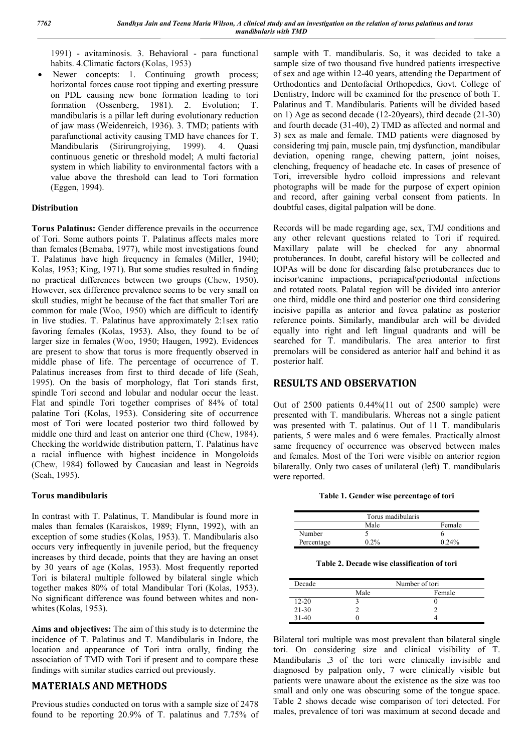1991) - avitaminosis. 3. Behavioral - para functional habits. 4.Climatic factors(Kolas, 1953)

 Newer concepts: 1. Continuing growth process; horizontal forces cause root tipping and exerting pressure on PDL causing new bone formation leading to tori formation (Ossenberg, 1981). 2. Evolution; T. mandibularis is a pillar left during evolutionary reduction of jaw mass (Weidenreich, 1936). 3. TMD; patients with parafunctional activity causing TMD have chances for T.<br>Mandibularis (Sirirungrojying, 1999). 4. Quasi Mandibularis (Sirirungrojying, 1999). 4. Quasi continuous genetic or threshold model; A multi factorial system in which liability to environmental factors with a value above the threshold can lead to Tori formation (Eggen, 1994).

## **Distribution**

**Torus Palatinus:** Gender difference prevails in the occurrence of Tori. Some authors points T. Palatinus affects males more than females (Bemaba, 1977), while most investigations found T. Palatinus have high frequency in females (Miller, 1940; Kolas, 1953; King, 1971). But some studies resulted in finding no practical differences between two groups (Chew, 1950). However, sex difference prevalence seems to be very small on skull studies, might be because of the fact that smaller Tori are common for male (Woo, 1950) which are difficult to identify in live studies. T. Palatinus have approximately 2:1sex ratio favoring females (Kolas, 1953). Also, they found to be of larger size in females (Woo, 1950; Haugen, 1992). Evidences are present to show that torus is more frequently observed in middle phase of life. The percentage of occurrence of T. Palatinus increases from first to third decade of life (Seah, 1995). On the basis of morphology, flat Tori stands first, spindle Tori second and lobular and nodular occur the least. Flat and spindle Tori together comprises of 84% of total palatine Tori (Kolas, 1953). Considering site of occurrence most of Tori were located posterior two third followed by middle one third and least on anterior one third (Chew, 1984). Checking the worldwide distribution pattern, T. Palatinus have a racial influence with highest incidence in Mongoloids (Chew, 1984) followed by Caucasian and least in Negroids (Seah, 1995).

## **Torus mandibularis**

In contrast with T. Palatinus, T. Mandibular is found more in males than females (Karaiskos, 1989; Flynn, 1992), with an exception of some studies (Kolas, 1953). T. Mandibularis also occurs very infrequently in juvenile period, but the frequency increases by third decade, points that they are having an onset by 30 years of age (Kolas, 1953). Most frequently reported Tori is bilateral multiple followed by bilateral single which together makes 80% of total Mandibular Tori (Kolas, 1953). No significant difference was found between whites and nonwhites(Kolas, 1953).

**Aims and objectives:** The aim of this study is to determine the incidence of T. Palatinus and T. Mandibularis in Indore, the location and appearance of Tori intra orally, finding the association of TMD with Tori if present and to compare these findings with similar studies carried out previously.

# **MATERIALS AND METHODS**

Previous studies conducted on torus with a sample size of 2478 found to be reporting 20.9% of T. palatinus and 7.75% of sample with T. mandibularis. So, it was decided to take a sample size of two thousand five hundred patients irrespective of sex and age within 12-40 years, attending the Department of Orthodontics and Dentofacial Orthopedics, Govt. College of Dentistry, Indore will be examined for the presence of both T. Palatinus and T. Mandibularis. Patients will be divided based on 1) Age as second decade (12-20years), third decade (21-30) and fourth decade (31-40), 2) TMD as affected and normal and 3) sex as male and female. TMD patients were diagnosed by considering tmj pain, muscle pain, tmj dysfunction, mandibular deviation, opening range, chewing pattern, joint noises, clenching, frequency of headache etc. In cases of presence of Tori, irreversible hydro colloid impressions and relevant photographs will be made for the purpose of expert opinion and record, after gaining verbal consent from patients. In doubtful cases, digital palpation will be done.

Records will be made regarding age, sex, TMJ conditions and any other relevant questions related to Tori if required. Maxillary palate will be checked for any abnormal protuberances. In doubt, careful history will be collected and IOPAs will be done for discarding false protuberances due to incisor\canine impactions, periapical\periodontal infections and rotated roots. Palatal region will be divided into anterior one third, middle one third and posterior one third considering incisive papilla as anterior and fovea palatine as posterior reference points. Similarly, mandibular arch will be divided equally into right and left lingual quadrants and will be searched for T. mandibularis. The area anterior to first premolars will be considered as anterior half and behind it as posterior half.

# **RESULTS AND OBSERVATION**

Out of 2500 patients 0.44%(11 out of 2500 sample) were presented with T. mandibularis. Whereas not a single patient was presented with T. palatinus. Out of 11 T. mandibularis patients, 5 were males and 6 were females. Practically almost same frequency of occurrence was observed between males and females. Most of the Tori were visible on anterior region bilaterally. Only two cases of unilateral (left) T. mandibularis were reported.

**Table 1. Gender wise percentage of tori**

| Torus madibularis |      |          |  |
|-------------------|------|----------|--|
|                   | Male | Female   |  |
| Number            |      |          |  |
| Percentage        | በ ን% | $0.24\%$ |  |

**Table 2. Decade wise classification of tori**

| Decade             | Number of tori |        |
|--------------------|----------------|--------|
|                    | Male           | Female |
| $12 - 20$          |                |        |
| $21 - 30$          |                |        |
| 31 <sub>–</sub> 40 |                |        |

Bilateral tori multiple was most prevalent than bilateral single tori. On considering size and clinical visibility of T. Mandibularis ,3 of the tori were clinically invisible and diagnosed by palpation only, 7 were clinically visible but patients were unaware about the existence as the size was too small and only one was obscuring some of the tongue space. Table 2 shows decade wise comparison of tori detected. For males, prevalence of tori was maximum at second decade and